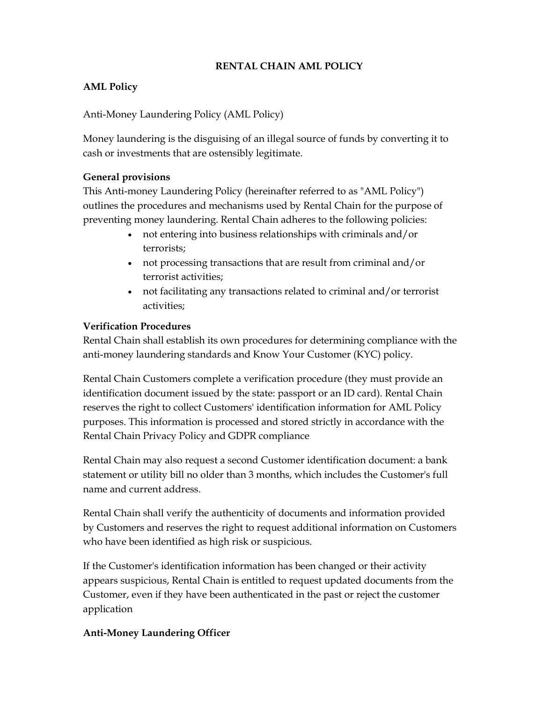## RENTAL CHAIN AML POLICY

## AML Policy

Anti-Money Laundering Policy (AML Policy)

Money laundering is the disguising of an illegal source of funds by converting it to cash or investments that are ostensibly legitimate.

#### General provisions

This Anti-money Laundering Policy (hereinafter referred to as "AML Policy") outlines the procedures and mechanisms used by Rental Chain for the purpose of preventing money laundering. Rental Chain adheres to the following policies:

- not entering into business relationships with criminals and/or terrorists;
- not processing transactions that are result from criminal and/or terrorist activities;
- not facilitating any transactions related to criminal and/or terrorist activities;

## Verification Procedures

Rental Chain shall establish its own procedures for determining compliance with the anti-money laundering standards and Know Your Customer (KYC) policy.

Rental Chain Customers complete a verification procedure (they must provide an identification document issued by the state: passport or an ID card). Rental Chain reserves the right to collect Customers' identification information for AML Policy purposes. This information is processed and stored strictly in accordance with the Rental Chain Privacy Policy and GDPR compliance

Rental Chain may also request a second Customer identification document: a bank statement or utility bill no older than 3 months, which includes the Customer's full name and current address.

Rental Chain shall verify the authenticity of documents and information provided by Customers and reserves the right to request additional information on Customers who have been identified as high risk or suspicious.

If the Customer's identification information has been changed or their activity appears suspicious, Rental Chain is entitled to request updated documents from the Customer, even if they have been authenticated in the past or reject the customer application

### Anti-Money Laundering Officer